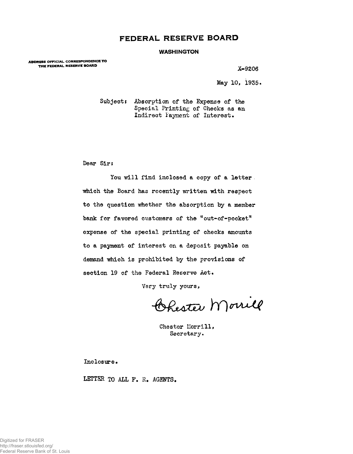## **FEDERAL RESERVE BOARD**

## **WASHINGTON**

**ADDRESS OFFICIAL CORRESPONDENCE TO THE FEDERAL RESERVE BOARD X-9206** 

May 10, 1955.

Subject: Absorption of the Expense of the Special Printing of Checks as an Indirect layment of Interest.

Dear Sir:

You will find inclosed a copy of a letter. which the Board has recently written with respect to the question whether the absorption by a member bank for favored customers of the "out-of-pocket" expense of the special printing of checks amounts to a payment of interest on a deposit payable on demand which is prohibited by the provisions of section 19 of the Federal Reserve Act.

Very truly yours,

Ohester Morrill

Chester Morrill, Secretary.

Inclosure.

LETTER TO ALL F. R. AGENTS.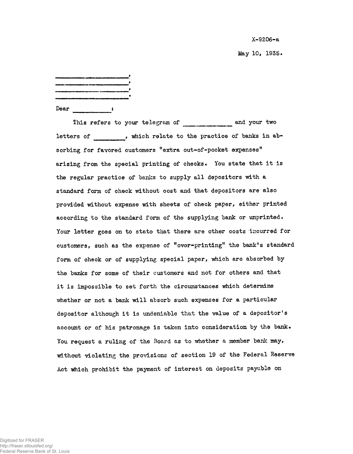X-9206-a

May 10, 1935.

| Dear |  |
|------|--|

This refers to your telegram of and your two letters of , which relate to the practice of banks in absorbing for favored customers "extra out-of-pocket expenses" arising from the special printing of checks. You state that it is the regular practice of banks to supply all depositors with a standard form of check without cost and that depositors are also provided without expense with sheets of check paper, either printed according to the standard form of the supplying bank or unprinted. Your letter goes on to state that there are other costs incurred for customers, such as the expense of "over-printing" the bank's standard form of check or of supplying special paper, which are absorbed by the banks for some of their customers and not for others and that it is impossible to set forth the circumstances which determine whether or not a bank will absorb such expenses for a particular depositor although it is undeniable that the value of a depositor's account or of his patronage is taken into consideration by the bank. You request a ruling of the Board as to whether a member bank may, without violating the provisions of section 19 of the Federal Reserve Act which prohibit the payment of interest on deposits payable on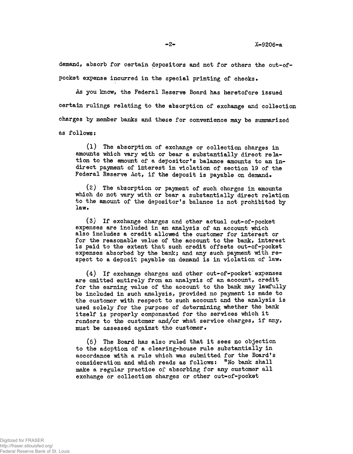demand, absorb for certain depositors and not for others the out-ofpocket expense incurred in the special printing of checks.

As you know, the Federal Reserve Board has heretofore issued certain rulings relating to the absorption of exchange and collection charges by member banks and these for convenience may be summarized as follows:

(1) The absorption of exchange or collection charges in amounts which vary with or bear a substantially direct relation to the amount of a depositor's balance amounts to an indirect payment of interest in violation of section 19 of the Federal Reserve Act, if the deposit is payable on demand.

(2) The absorption or payment of such charges in amounts which do not vary with or bear a substantially direct relation to the amount of the depositor's balance is not prohibited by law.

(3) If exchange charges and other actual out-of-pocket expenses are included in an analysis of an account which also includes a credit allowed the customer for interest or for the reasonable value of the account to the bank, interest is paid to the extent that such credit offsets out-of-pocket expenses absorbed by the bank; and any such payment with respect to a deposit payable on demand is in violation of law.

(4) If exchange charges and other out-of-pocket expenses are omitted entirely from an analysis of an account, credit for the earning value of the account to the bank may lawfully be included in such analysis, provided no payment is made to the customer with respect to such account and the analysis is used solely for the purpose of determining whether the bank itself is properly compensated for the services which it renders to the customer and/or what service charges, if any, must be assessed against the customer \*

(5) The Board has also ruled that it sees no objection to the adoption of a clearing-house rule substantially in accordance with a rule which was submitted for the Board's consideration and which reads as follows: "No bank shall make a regular practice of absorbing for any customer all exchange or collection charges or other out-of-pocket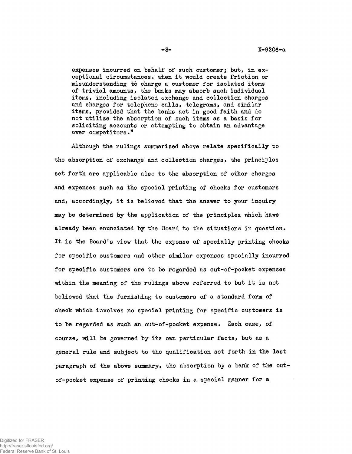expenses incurred on behalf of such customer; but, in exceptional circumstances, when it would create friction or misunderstanding to charge a customer for isolated items of trivial amounts, the banks may absorb such individual items, including isolated exchange and collection charges and charges for telephone calls, telegrams, and similar items, provided that the banks act in good faith and do not utilize the absorption of such items as a basis for soliciting accounts or attempting to obtain an advantage over competitors."

Although the rulings summarized above relate specifically to the absorption of exchange and collection charges, the principles set forth are applicable also to the absorption of other charges and expenses such as the spocial printing of checks for customers and, accordingly, it is believed that the answer to your inquiry may be determined by the application of the principles which have already been enunciated by the Board to the situations in question. It is the Board's view that the expense of specially printing checks for specific customers and other similar expenses specially incurred for specific customers are to be regarded as out-of-pocket expenses within the meaning of the rulings above referred to but it is not believed that the furnishing to customers of a standard form of check which involves no special printing for specific customers is to be regarded as such an out-of-pocket expense. Each case, of course, will be governed by its own particular facts, but as a general rule and subject to the qualification set forth in the last paragraph of the above summary, the absorption by a bank of the outof-pocket expense of printing checks in a special manner for a